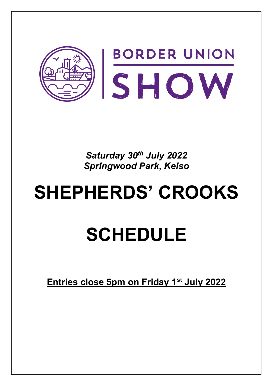

*Saturday 30th July 2022 Springwood Park, Kelso*

## **SHEPHERDS' CROOKS**

## **SCHEDULE**

**Entries close 5pm on Friday 1st July 2022**